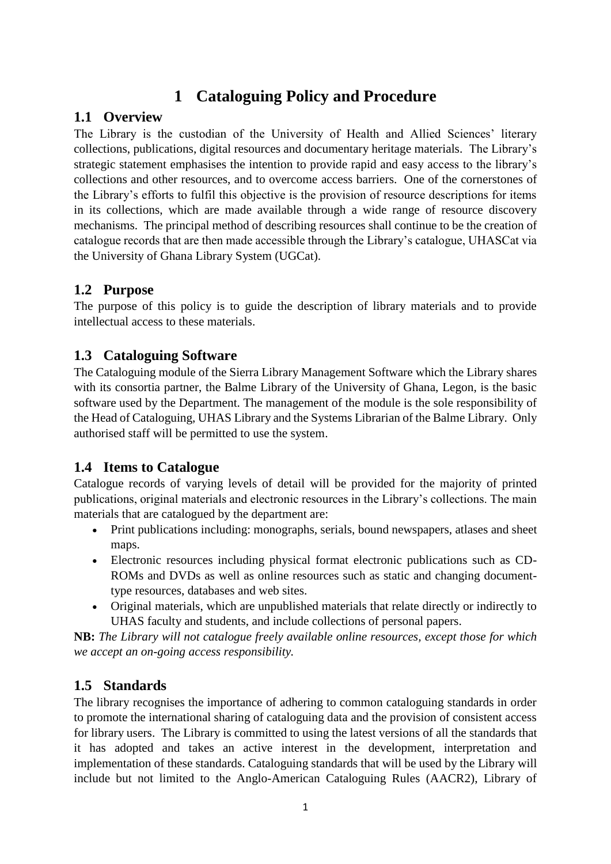# **1 Cataloguing Policy and Procedure**

## **1.1 Overview**

The Library is the custodian of the University of Health and Allied Sciences' literary collections, publications, digital resources and documentary heritage materials. The Library's strategic statement emphasises the intention to provide rapid and easy access to the library's collections and other resources, and to overcome access barriers. One of the cornerstones of the Library's efforts to fulfil this objective is the provision of resource descriptions for items in its collections, which are made available through a wide range of resource discovery mechanisms. The principal method of describing resources shall continue to be the creation of catalogue records that are then made accessible through the Library's catalogue, UHASCat via the University of Ghana Library System (UGCat).

## **1.2 Purpose**

The purpose of this policy is to guide the description of library materials and to provide intellectual access to these materials.

## **1.3 Cataloguing Software**

The Cataloguing module of the Sierra Library Management Software which the Library shares with its consortia partner, the Balme Library of the University of Ghana, Legon, is the basic software used by the Department. The management of the module is the sole responsibility of the Head of Cataloguing, UHAS Library and the Systems Librarian of the Balme Library. Only authorised staff will be permitted to use the system.

## **1.4 Items to Catalogue**

Catalogue records of varying levels of detail will be provided for the majority of printed publications, original materials and electronic resources in the Library's collections. The main materials that are catalogued by the department are:

- Print publications including: monographs, serials, bound newspapers, atlases and sheet maps.
- Electronic resources including physical format electronic publications such as CD-ROMs and DVDs as well as online resources such as static and changing documenttype resources, databases and web sites.
- Original materials, which are unpublished materials that relate directly or indirectly to UHAS faculty and students, and include collections of personal papers.

**NB:** *The Library will not catalogue freely available online resources, except those for which we accept an on-going access responsibility.*

## **1.5 Standards**

The library recognises the importance of adhering to common cataloguing standards in order to promote the international sharing of cataloguing data and the provision of consistent access for library users. The Library is committed to using the latest versions of all the standards that it has adopted and takes an active interest in the development, interpretation and implementation of these standards. Cataloguing standards that will be used by the Library will include but not limited to the Anglo-American Cataloguing Rules (AACR2), Library of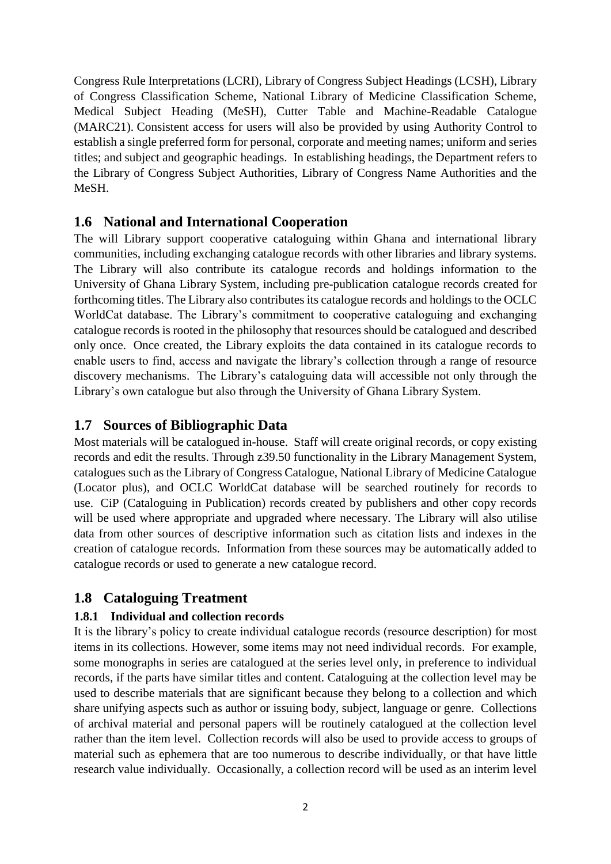Congress Rule Interpretations (LCRI), Library of Congress Subject Headings (LCSH), Library of Congress Classification Scheme, National Library of Medicine Classification Scheme, Medical Subject Heading (MeSH), Cutter Table and Machine-Readable Catalogue (MARC21). Consistent access for users will also be provided by using Authority Control to establish a single preferred form for personal, corporate and meeting names; uniform and series titles; and subject and geographic headings. In establishing headings, the Department refers to the Library of Congress Subject Authorities, Library of Congress Name Authorities and the MeSH.

### **1.6 National and International Cooperation**

The will Library support cooperative cataloguing within Ghana and international library communities, including exchanging catalogue records with other libraries and library systems. The Library will also contribute its catalogue records and holdings information to the University of Ghana Library System, including pre-publication catalogue records created for forthcoming titles. The Library also contributes its catalogue records and holdings to the OCLC WorldCat database. The Library's commitment to cooperative cataloguing and exchanging catalogue records is rooted in the philosophy that resources should be catalogued and described only once. Once created, the Library exploits the data contained in its catalogue records to enable users to find, access and navigate the library's collection through a range of resource discovery mechanisms. The Library's cataloguing data will accessible not only through the Library's own catalogue but also through the University of Ghana Library System.

### **1.7 Sources of Bibliographic Data**

Most materials will be catalogued in-house. Staff will create original records, or copy existing records and edit the results. Through z39.50 functionality in the Library Management System, catalogues such as the Library of Congress Catalogue, National Library of Medicine Catalogue (Locator plus), and OCLC WorldCat database will be searched routinely for records to use. CiP (Cataloguing in Publication) records created by publishers and other copy records will be used where appropriate and upgraded where necessary. The Library will also utilise data from other sources of descriptive information such as citation lists and indexes in the creation of catalogue records. Information from these sources may be automatically added to catalogue records or used to generate a new catalogue record.

## **1.8 Cataloguing Treatment**

#### **1.8.1 Individual and collection records**

It is the library's policy to create individual catalogue records (resource description) for most items in its collections. However, some items may not need individual records. For example, some monographs in series are catalogued at the series level only, in preference to individual records, if the parts have similar titles and content. Cataloguing at the collection level may be used to describe materials that are significant because they belong to a collection and which share unifying aspects such as author or issuing body, subject, language or genre. Collections of archival material and personal papers will be routinely catalogued at the collection level rather than the item level. Collection records will also be used to provide access to groups of material such as ephemera that are too numerous to describe individually, or that have little research value individually. Occasionally, a collection record will be used as an interim level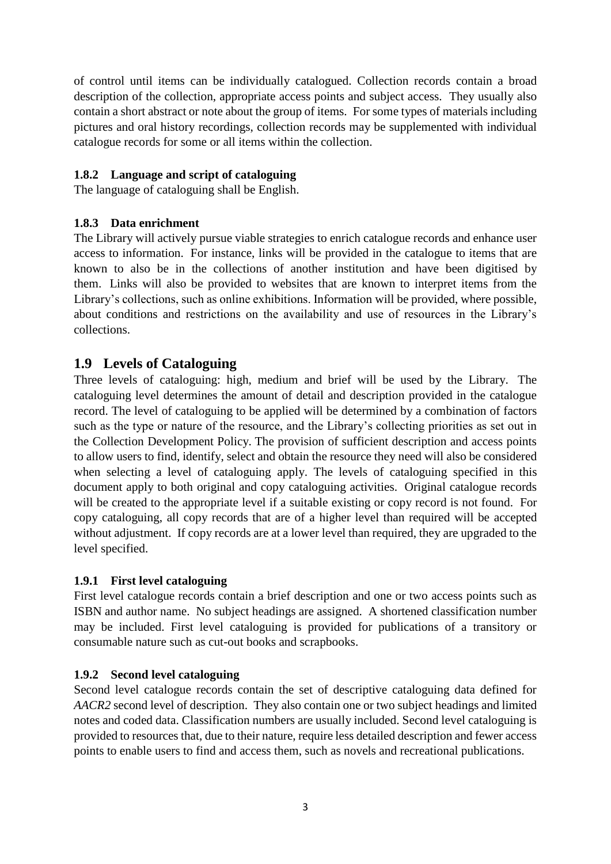of control until items can be individually catalogued. Collection records contain a broad description of the collection, appropriate access points and subject access. They usually also contain a short abstract or note about the group of items. For some types of materials including pictures and oral history recordings, collection records may be supplemented with individual catalogue records for some or all items within the collection.

#### **1.8.2 Language and script of cataloguing**

The language of cataloguing shall be English.

#### **1.8.3 Data enrichment**

The Library will actively pursue viable strategies to enrich catalogue records and enhance user access to information. For instance, links will be provided in the catalogue to items that are known to also be in the collections of another institution and have been digitised by them. Links will also be provided to websites that are known to interpret items from the Library's collections, such as online exhibitions. Information will be provided, where possible, about conditions and restrictions on the availability and use of resources in the Library's collections.

### **1.9 Levels of Cataloguing**

Three levels of cataloguing: high, medium and brief will be used by the Library. The cataloguing level determines the amount of detail and description provided in the catalogue record. The level of cataloguing to be applied will be determined by a combination of factors such as the type or nature of the resource, and the Library's collecting priorities as set out in the Collection Development Policy. The provision of sufficient description and access points to allow users to find, identify, select and obtain the resource they need will also be considered when selecting a level of cataloguing apply. The levels of cataloguing specified in this document apply to both original and copy cataloguing activities. Original catalogue records will be created to the appropriate level if a suitable existing or copy record is not found. For copy cataloguing, all copy records that are of a higher level than required will be accepted without adjustment. If copy records are at a lower level than required, they are upgraded to the level specified.

#### **1.9.1 First level cataloguing**

First level catalogue records contain a brief description and one or two access points such as ISBN and author name. No subject headings are assigned. A shortened classification number may be included. First level cataloguing is provided for publications of a transitory or consumable nature such as cut-out books and scrapbooks.

#### **1.9.2 Second level cataloguing**

Second level catalogue records contain the set of descriptive cataloguing data defined for *AACR2* second level of description. They also contain one or two subject headings and limited notes and coded data. Classification numbers are usually included. Second level cataloguing is provided to resources that, due to their nature, require less detailed description and fewer access points to enable users to find and access them, such as novels and recreational publications.